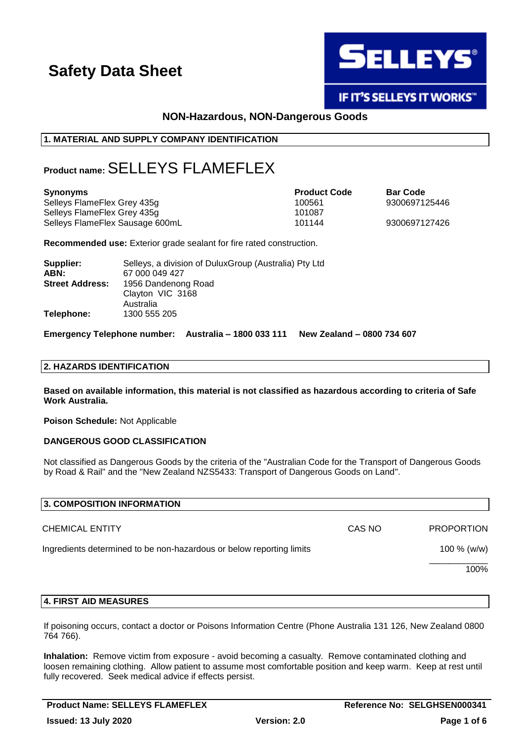

# IF IT'S SELLEYS IT WORKS"

# **NON-Hazardous, NON-Dangerous Goods**

## **1. MATERIAL AND SUPPLY COMPANY IDENTIFICATION**

# **Product name:**SELLEYS FLAMEFLEX

| <b>Synonyms</b>                 | <b>Product Code</b> | <b>Bar Code</b> |
|---------------------------------|---------------------|-----------------|
| Selleys FlameFlex Grey 435g     | 100561              | 9300697125446   |
| Selleys FlameFlex Grey 435g     | 101087              |                 |
| Selleys FlameFlex Sausage 600mL | 101144              | 9300697127426   |

**Recommended use:** Exterior grade sealant for fire rated construction.

| Supplier:              | Selleys, a division of Dulux Group (Australia) Pty Ltd |
|------------------------|--------------------------------------------------------|
| ABN:                   | 67 000 049 427                                         |
| <b>Street Address:</b> | 1956 Dandenong Road                                    |
|                        | Clayton VIC 3168                                       |
|                        | Australia                                              |
| Telephone:             | 1300 555 205                                           |

**Emergency Telephone number: Australia – 1800 033 111 New Zealand – 0800 734 607**

#### **2. HAZARDS IDENTIFICATION**

**Based on available information, this material is not classified as hazardous according to criteria of Safe Work Australia.**

**Poison Schedule:** Not Applicable

#### **DANGEROUS GOOD CLASSIFICATION**

Not classified as Dangerous Goods by the criteria of the "Australian Code for the Transport of Dangerous Goods by Road & Rail" and the "New Zealand NZS5433: Transport of Dangerous Goods on Land".

| 3. COMPOSITION INFORMATION                                           |        |                   |
|----------------------------------------------------------------------|--------|-------------------|
| <b>CHEMICAL ENTITY</b>                                               | CAS NO | <b>PROPORTION</b> |
| Ingredients determined to be non-hazardous or below reporting limits |        | 100 % (w/w)       |
|                                                                      |        | 100%              |
|                                                                      |        |                   |

## **4. FIRST AID MEASURES**

If poisoning occurs, contact a doctor or Poisons Information Centre (Phone Australia 131 126, New Zealand 0800 764 766).

**Inhalation:** Remove victim from exposure - avoid becoming a casualty. Remove contaminated clothing and loosen remaining clothing. Allow patient to assume most comfortable position and keep warm. Keep at rest until fully recovered. Seek medical advice if effects persist.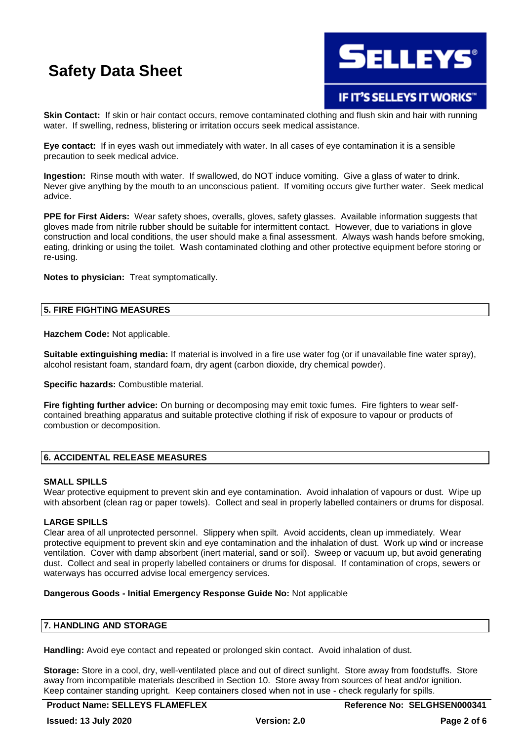

# IF IT'S SELLEYS IT WORKS"

**Skin Contact:** If skin or hair contact occurs, remove contaminated clothing and flush skin and hair with running water. If swelling, redness, blistering or irritation occurs seek medical assistance.

**Eye contact:** If in eyes wash out immediately with water. In all cases of eye contamination it is a sensible precaution to seek medical advice.

**Ingestion:** Rinse mouth with water. If swallowed, do NOT induce vomiting. Give a glass of water to drink. Never give anything by the mouth to an unconscious patient. If vomiting occurs give further water. Seek medical advice.

**PPE for First Aiders:** Wear safety shoes, overalls, gloves, safety glasses. Available information suggests that gloves made from nitrile rubber should be suitable for intermittent contact. However, due to variations in glove construction and local conditions, the user should make a final assessment. Always wash hands before smoking, eating, drinking or using the toilet. Wash contaminated clothing and other protective equipment before storing or re-using.

**Notes to physician:** Treat symptomatically.

#### **5. FIRE FIGHTING MEASURES**

**Hazchem Code:** Not applicable.

**Suitable extinguishing media:** If material is involved in a fire use water fog (or if unavailable fine water spray), alcohol resistant foam, standard foam, dry agent (carbon dioxide, dry chemical powder).

**Specific hazards:** Combustible material.

**Fire fighting further advice:** On burning or decomposing may emit toxic fumes. Fire fighters to wear selfcontained breathing apparatus and suitable protective clothing if risk of exposure to vapour or products of combustion or decomposition.

## **6. ACCIDENTAL RELEASE MEASURES**

#### **SMALL SPILLS**

Wear protective equipment to prevent skin and eye contamination. Avoid inhalation of vapours or dust. Wipe up with absorbent (clean rag or paper towels). Collect and seal in properly labelled containers or drums for disposal.

#### **LARGE SPILLS**

Clear area of all unprotected personnel. Slippery when spilt. Avoid accidents, clean up immediately. Wear protective equipment to prevent skin and eye contamination and the inhalation of dust. Work up wind or increase ventilation. Cover with damp absorbent (inert material, sand or soil). Sweep or vacuum up, but avoid generating dust. Collect and seal in properly labelled containers or drums for disposal. If contamination of crops, sewers or waterways has occurred advise local emergency services.

### **Dangerous Goods - Initial Emergency Response Guide No:** Not applicable

#### **7. HANDLING AND STORAGE**

**Handling:** Avoid eye contact and repeated or prolonged skin contact. Avoid inhalation of dust.

**Storage:** Store in a cool, dry, well-ventilated place and out of direct sunlight. Store away from foodstuffs. Store away from incompatible materials described in Section 10. Store away from sources of heat and/or ignition. Keep container standing upright. Keep containers closed when not in use - check regularly for spills.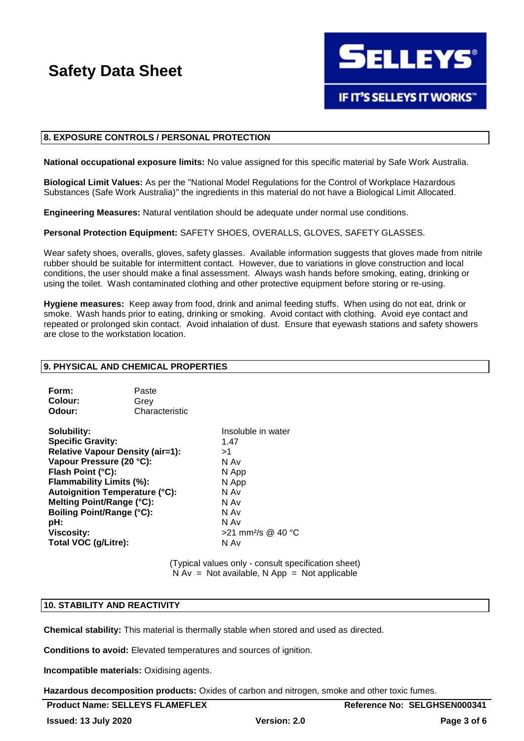

#### **8. EXPOSURE CONTROLS / PERSONAL PROTECTION**

**National occupational exposure limits:** No value assigned for this specific material by Safe Work Australia.

**Biological Limit Values:** As per the "National Model Regulations for the Control of Workplace Hazardous Substances (Safe Work Australia)" the ingredients in this material do not have a Biological Limit Allocated.

**Engineering Measures:** Natural ventilation should be adequate under normal use conditions.

**Personal Protection Equipment:** SAFETY SHOES, OVERALLS, GLOVES, SAFETY GLASSES.

Wear safety shoes, overalls, gloves, safety glasses. Available information suggests that gloves made from nitrile rubber should be suitable for intermittent contact. However, due to variations in glove construction and local conditions, the user should make a final assessment. Always wash hands before smoking, eating, drinking or using the toilet. Wash contaminated clothing and other protective equipment before storing or re-using.

**Hygiene measures:** Keep away from food, drink and animal feeding stuffs. When using do not eat, drink or smoke. Wash hands prior to eating, drinking or smoking. Avoid contact with clothing. Avoid eye contact and repeated or prolonged skin contact. Avoid inhalation of dust. Ensure that eyewash stations and safety showers are close to the workstation location.

#### **9. PHYSICAL AND CHEMICAL PROPERTIES**

| Form:   | Paste          |
|---------|----------------|
| Colour: | Grev           |
| Odour:  | Characteristic |

**Solubility:** Insoluble in water **Specific Gravity:** 1.47 **Relative Vapour Density (air=1):** >1 **Vapour Pressure (20 °C):** N Av **Flash Point (°C):** N App **Flammability Limits (%):** N App **Autoignition Temperature (°C):** N Av **Melting Point/Range (°C):** N Av **Boiling Point/Range (°C):** N Av **pH:** N Av **Viscosity:**  $>21$  mm<sup>2</sup>/s @ 40 °C **Total VOC (g/Litre):** N Av

(Typical values only - consult specification sheet)  $N Av = Not available, N App = Not applicable$ 

#### **10. STABILITY AND REACTIVITY**

**Chemical stability:** This material is thermally stable when stored and used as directed.

**Conditions to avoid:** Elevated temperatures and sources of ignition.

**Incompatible materials:** Oxidising agents.

**Hazardous decomposition products:** Oxides of carbon and nitrogen, smoke and other toxic fumes.

| <b>Product Name: SELLEYS FLAMEFLEX</b> |
|----------------------------------------|
|----------------------------------------|

**Reference No: SELGHSEN000341**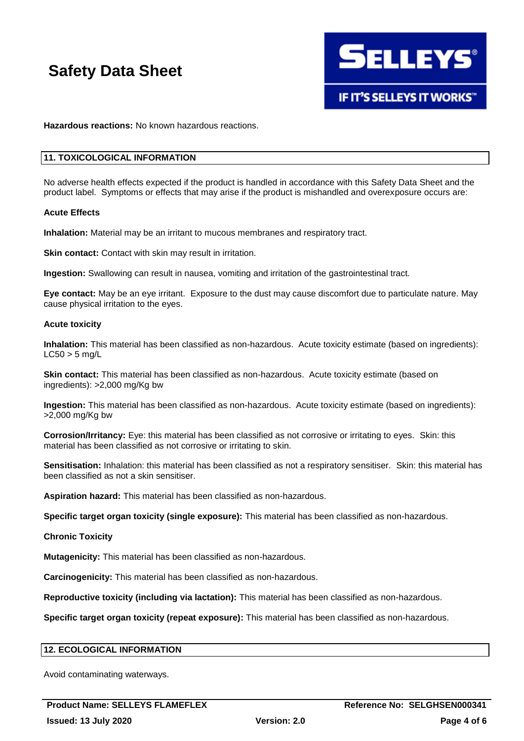

**Hazardous reactions:** No known hazardous reactions.

#### **11. TOXICOLOGICAL INFORMATION**

No adverse health effects expected if the product is handled in accordance with this Safety Data Sheet and the product label. Symptoms or effects that may arise if the product is mishandled and overexposure occurs are:

#### **Acute Effects**

**Inhalation:** Material may be an irritant to mucous membranes and respiratory tract.

**Skin contact:** Contact with skin may result in irritation.

**Ingestion:** Swallowing can result in nausea, vomiting and irritation of the gastrointestinal tract.

**Eye contact:** May be an eye irritant. Exposure to the dust may cause discomfort due to particulate nature. May cause physical irritation to the eyes.

#### **Acute toxicity**

**Inhalation:** This material has been classified as non-hazardous. Acute toxicity estimate (based on ingredients):  $LC50 > 5$  mg/L

**Skin contact:** This material has been classified as non-hazardous. Acute toxicity estimate (based on ingredients): >2,000 mg/Kg bw

**Ingestion:** This material has been classified as non-hazardous. Acute toxicity estimate (based on ingredients): >2,000 mg/Kg bw

**Corrosion/Irritancy:** Eye: this material has been classified as not corrosive or irritating to eyes. Skin: this material has been classified as not corrosive or irritating to skin.

**Sensitisation:** Inhalation: this material has been classified as not a respiratory sensitiser. Skin: this material has been classified as not a skin sensitiser.

**Aspiration hazard:** This material has been classified as non-hazardous.

**Specific target organ toxicity (single exposure):** This material has been classified as non-hazardous.

#### **Chronic Toxicity**

**Mutagenicity:** This material has been classified as non-hazardous.

**Carcinogenicity:** This material has been classified as non-hazardous.

**Reproductive toxicity (including via lactation):** This material has been classified as non-hazardous.

**Specific target organ toxicity (repeat exposure):** This material has been classified as non-hazardous.

# **12. ECOLOGICAL INFORMATION**

Avoid contaminating waterways.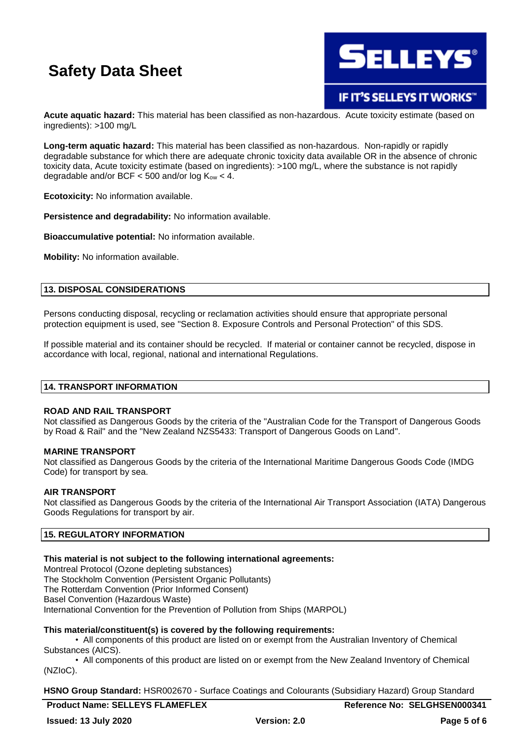

IF IT'S SELLEYS IT WORKS"

**Acute aquatic hazard:** This material has been classified as non-hazardous. Acute toxicity estimate (based on ingredients): >100 mg/L

**Long-term aquatic hazard:** This material has been classified as non-hazardous. Non-rapidly or rapidly degradable substance for which there are adequate chronic toxicity data available OR in the absence of chronic toxicity data, Acute toxicity estimate (based on ingredients): >100 mg/L, where the substance is not rapidly degradable and/or BCF  $<$  500 and/or log  $K_{ow}$   $<$  4.

**Ecotoxicity:** No information available.

**Persistence and degradability:** No information available.

**Bioaccumulative potential:** No information available.

**Mobility:** No information available.

### **13. DISPOSAL CONSIDERATIONS**

Persons conducting disposal, recycling or reclamation activities should ensure that appropriate personal protection equipment is used, see "Section 8. Exposure Controls and Personal Protection" of this SDS.

If possible material and its container should be recycled. If material or container cannot be recycled, dispose in accordance with local, regional, national and international Regulations.

### **14. TRANSPORT INFORMATION**

#### **ROAD AND RAIL TRANSPORT**

Not classified as Dangerous Goods by the criteria of the "Australian Code for the Transport of Dangerous Goods by Road & Rail" and the "New Zealand NZS5433: Transport of Dangerous Goods on Land".

#### **MARINE TRANSPORT**

Not classified as Dangerous Goods by the criteria of the International Maritime Dangerous Goods Code (IMDG Code) for transport by sea.

#### **AIR TRANSPORT**

Not classified as Dangerous Goods by the criteria of the International Air Transport Association (IATA) Dangerous Goods Regulations for transport by air.

## **15. REGULATORY INFORMATION**

### **This material is not subject to the following international agreements:**

Montreal Protocol (Ozone depleting substances) The Stockholm Convention (Persistent Organic Pollutants) The Rotterdam Convention (Prior Informed Consent) Basel Convention (Hazardous Waste)

International Convention for the Prevention of Pollution from Ships (MARPOL)

### **This material/constituent(s) is covered by the following requirements:**

• All components of this product are listed on or exempt from the Australian Inventory of Chemical Substances (AICS).

• All components of this product are listed on or exempt from the New Zealand Inventory of Chemical (NZIoC).

**HSNO Group Standard:** HSR002670 - Surface Coatings and Colourants (Subsidiary Hazard) Group Standard